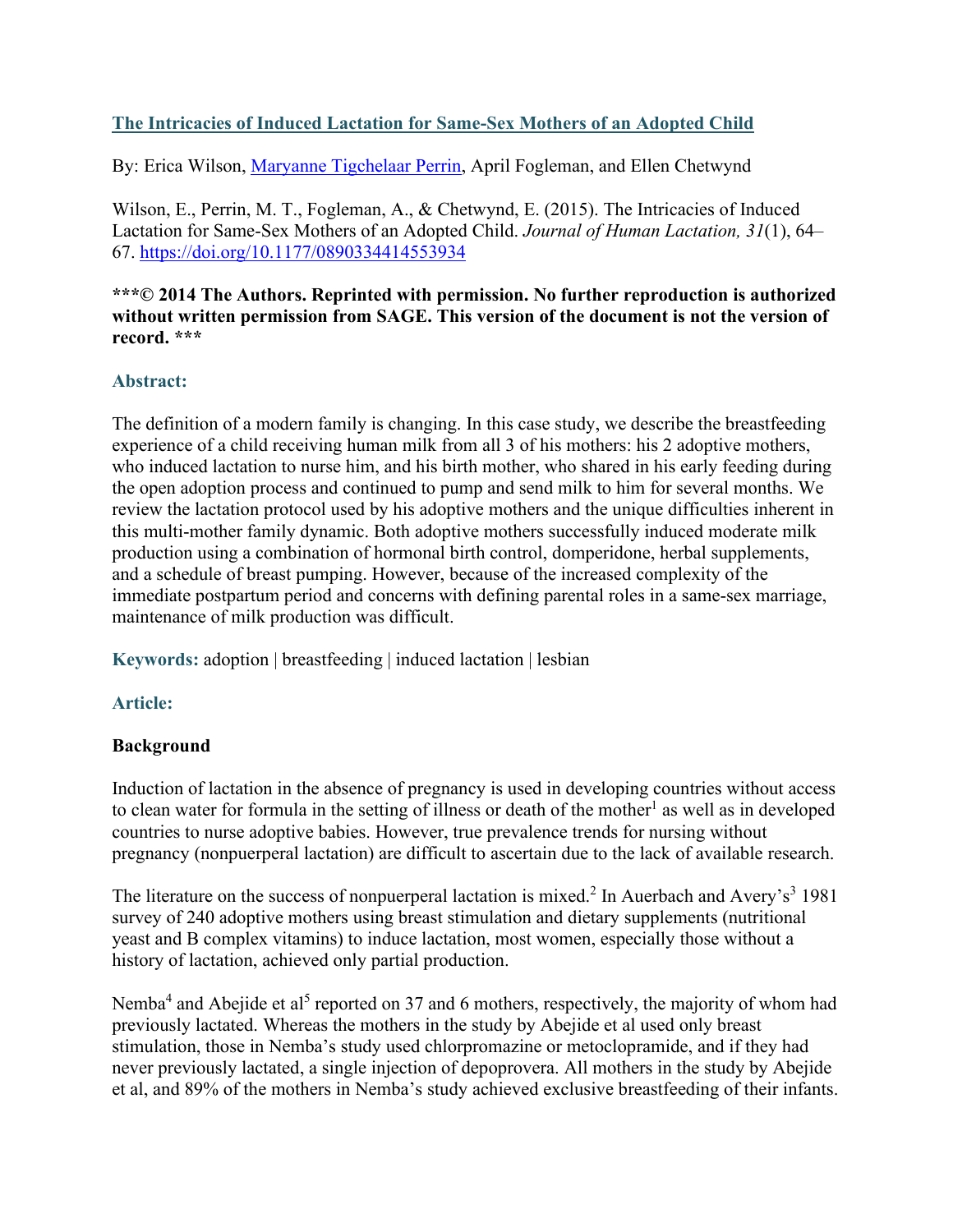# **The Intricacies of Induced Lactation for Same-Sex Mothers of an Adopted Child**

By: Erica Wilson, [Maryanne Tigchelaar Perrin,](https://libres.uncg.edu/ir/uncg/clist.aspx?id=23923) April Fogleman, and Ellen Chetwynd

Wilson, E., Perrin, M. T., Fogleman, A., & Chetwynd, E. (2015). The Intricacies of Induced Lactation for Same-Sex Mothers of an Adopted Child. *Journal of Human Lactation, 31*(1), 64– 67.<https://doi.org/10.1177/0890334414553934>

#### **\*\*\*© 2014 The Authors. Reprinted with permission. No further reproduction is authorized without written permission from SAGE. This version of the document is not the version of record. \*\*\***

### **Abstract:**

The definition of a modern family is changing. In this case study, we describe the breastfeeding experience of a child receiving human milk from all 3 of his mothers: his 2 adoptive mothers, who induced lactation to nurse him, and his birth mother, who shared in his early feeding during the open adoption process and continued to pump and send milk to him for several months. We review the lactation protocol used by his adoptive mothers and the unique difficulties inherent in this multi-mother family dynamic. Both adoptive mothers successfully induced moderate milk production using a combination of hormonal birth control, domperidone, herbal supplements, and a schedule of breast pumping. However, because of the increased complexity of the immediate postpartum period and concerns with defining parental roles in a same-sex marriage, maintenance of milk production was difficult.

**Keywords:** adoption | breastfeeding | induced lactation | lesbian

# **Article:**

### **Background**

Induction of lactation in the absence of pregnancy is used in developing countries without access to clean water for formula in the setting of illness or death of the mother<sup>1</sup> as well as in developed countries to nurse adoptive babies. However, true prevalence trends for nursing without pregnancy (nonpuerperal lactation) are difficult to ascertain due to the lack of available research.

The literature on the success of nonpuerperal lactation is mixed.<sup>2</sup> In Auerbach and Avery's<sup>3</sup> 1981 survey of 240 adoptive mothers using breast stimulation and dietary supplements (nutritional yeast and B complex vitamins) to induce lactation, most women, especially those without a history of lactation, achieved only partial production.

Nemba<sup>4</sup> and Abejide et al<sup>5</sup> reported on 37 and 6 mothers, respectively, the majority of whom had previously lactated. Whereas the mothers in the study by Abejide et al used only breast stimulation, those in Nemba's study used chlorpromazine or metoclopramide, and if they had never previously lactated, a single injection of depoprovera. All mothers in the study by Abejide et al, and 89% of the mothers in Nemba's study achieved exclusive breastfeeding of their infants.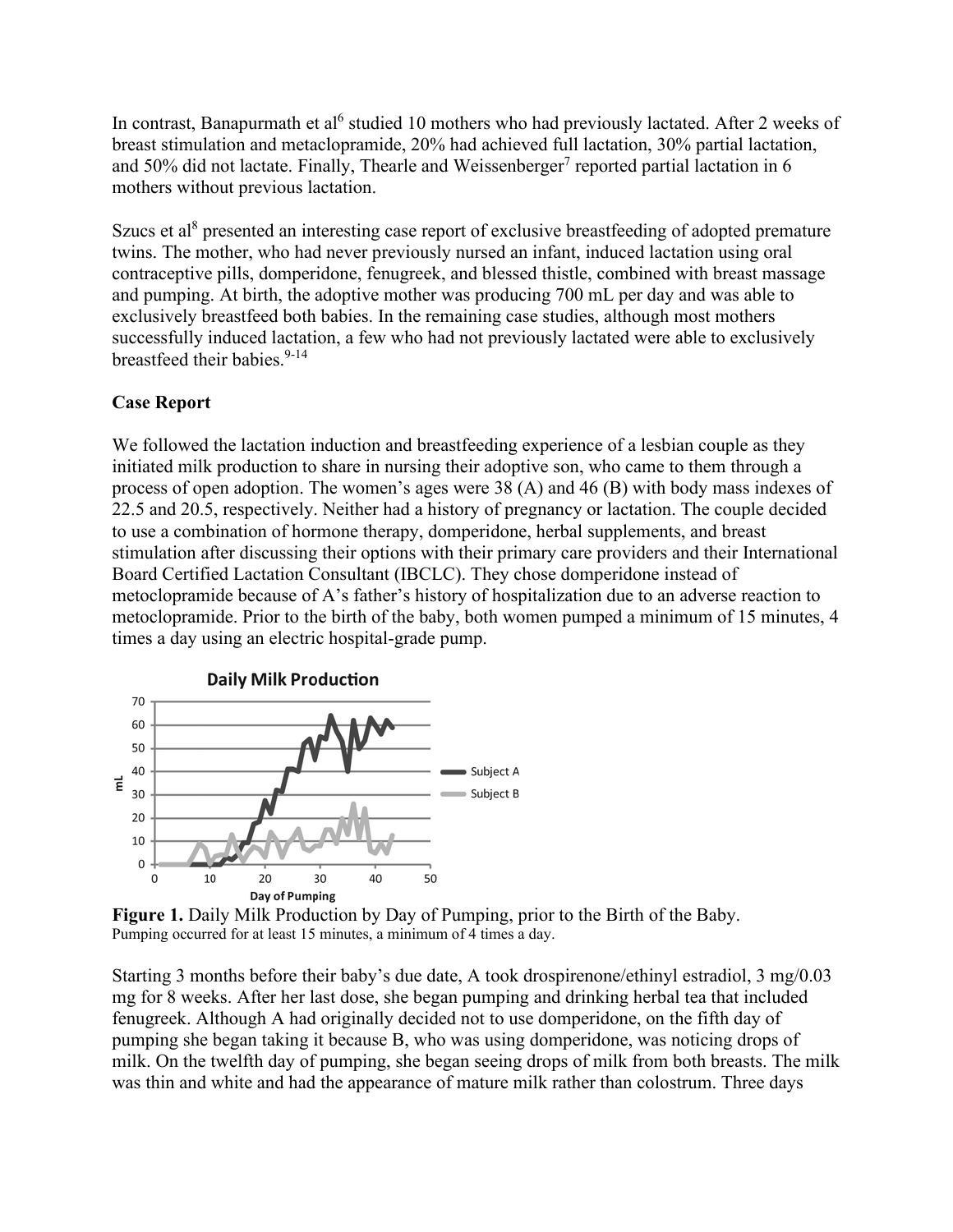In contrast, Banapurmath et al<sup>6</sup> studied 10 mothers who had previously lactated. After 2 weeks of breast stimulation and metaclopramide, 20% had achieved full lactation, 30% partial lactation, and 50% did not lactate. Finally, Thearle and Weissenberger<sup>7</sup> reported partial lactation in 6 mothers without previous lactation.

Szucs et al<sup>8</sup> presented an interesting case report of exclusive breastfeeding of adopted premature twins. The mother, who had never previously nursed an infant, induced lactation using oral contraceptive pills, domperidone, fenugreek, and blessed thistle, combined with breast massage and pumping. At birth, the adoptive mother was producing 700 mL per day and was able to exclusively breastfeed both babies. In the remaining case studies, although most mothers successfully induced lactation, a few who had not previously lactated were able to exclusively breastfeed their babies. $9-14$ 

### **Case Report**

We followed the lactation induction and breastfeeding experience of a lesbian couple as they initiated milk production to share in nursing their adoptive son, who came to them through a process of open adoption. The women's ages were 38 (A) and 46 (B) with body mass indexes of 22.5 and 20.5, respectively. Neither had a history of pregnancy or lactation. The couple decided to use a combination of hormone therapy, domperidone, herbal supplements, and breast stimulation after discussing their options with their primary care providers and their International Board Certified Lactation Consultant (IBCLC). They chose domperidone instead of metoclopramide because of A's father's history of hospitalization due to an adverse reaction to metoclopramide. Prior to the birth of the baby, both women pumped a minimum of 15 minutes, 4 times a day using an electric hospital-grade pump.



**Figure 1.** Daily Milk Production by Day of Pumping, prior to the Birth of the Baby. Pumping occurred for at least 15 minutes, a minimum of 4 times a day.

Starting 3 months before their baby's due date, A took drospirenone/ethinyl estradiol, 3 mg/0.03 mg for 8 weeks. After her last dose, she began pumping and drinking herbal tea that included fenugreek. Although A had originally decided not to use domperidone, on the fifth day of pumping she began taking it because B, who was using domperidone, was noticing drops of milk. On the twelfth day of pumping, she began seeing drops of milk from both breasts. The milk was thin and white and had the appearance of mature milk rather than colostrum. Three days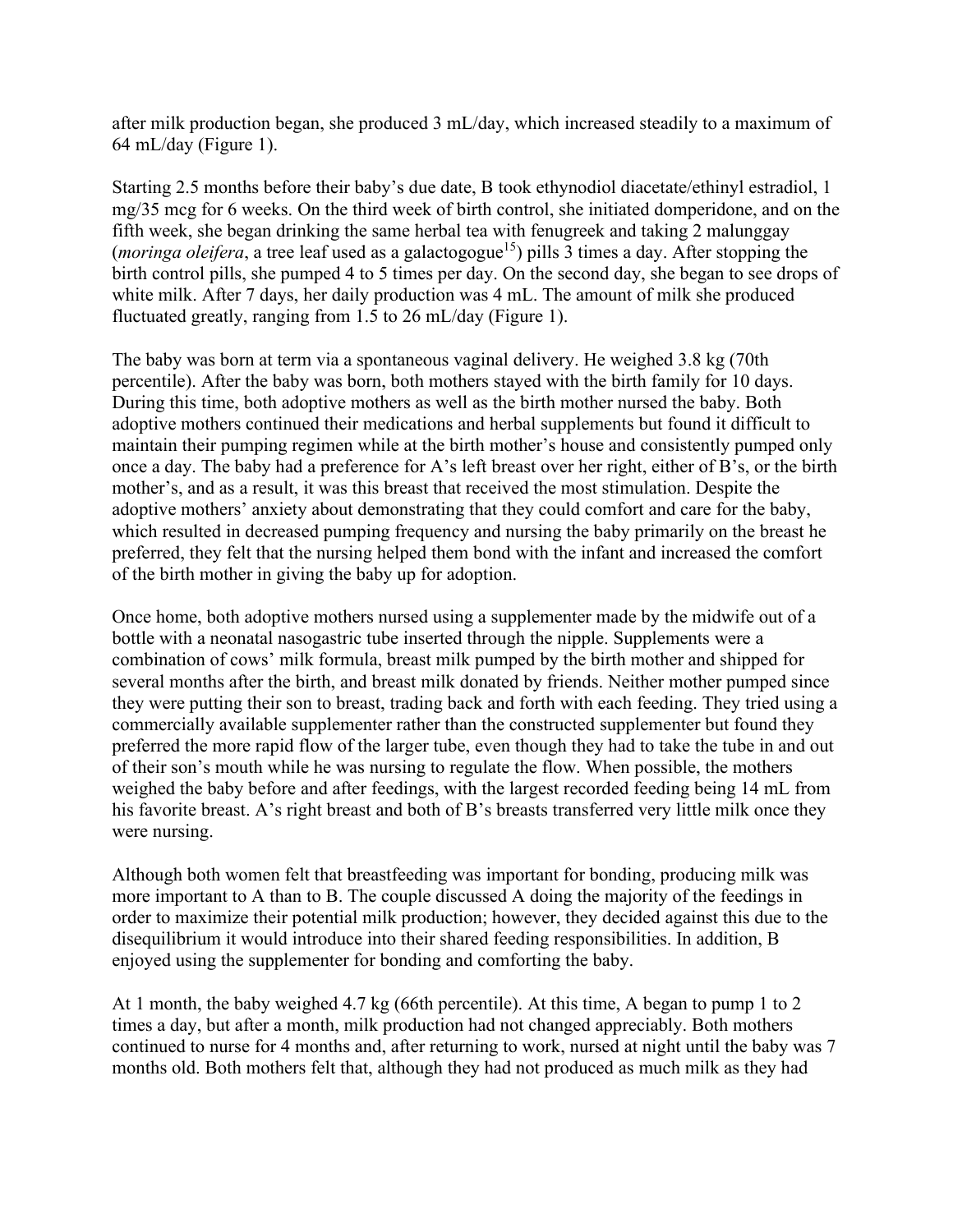after milk production began, she produced 3 mL/day, which increased steadily to a maximum of 64 mL/day (Figure 1).

Starting 2.5 months before their baby's due date, B took ethynodiol diacetate/ethinyl estradiol, 1 mg/35 mcg for 6 weeks. On the third week of birth control, she initiated domperidone, and on the fifth week, she began drinking the same herbal tea with fenugreek and taking 2 malunggay (*moringa oleifera*, a tree leaf used as a galactogogue<sup>15</sup>) pills  $\overline{3}$  times a day. After stopping the birth control pills, she pumped 4 to 5 times per day. On the second day, she began to see drops of white milk. After 7 days, her daily production was 4 mL. The amount of milk she produced fluctuated greatly, ranging from 1.5 to 26 mL/day (Figure 1).

The baby was born at term via a spontaneous vaginal delivery. He weighed 3.8 kg (70th percentile). After the baby was born, both mothers stayed with the birth family for 10 days. During this time, both adoptive mothers as well as the birth mother nursed the baby. Both adoptive mothers continued their medications and herbal supplements but found it difficult to maintain their pumping regimen while at the birth mother's house and consistently pumped only once a day. The baby had a preference for A's left breast over her right, either of B's, or the birth mother's, and as a result, it was this breast that received the most stimulation. Despite the adoptive mothers' anxiety about demonstrating that they could comfort and care for the baby, which resulted in decreased pumping frequency and nursing the baby primarily on the breast he preferred, they felt that the nursing helped them bond with the infant and increased the comfort of the birth mother in giving the baby up for adoption.

Once home, both adoptive mothers nursed using a supplementer made by the midwife out of a bottle with a neonatal nasogastric tube inserted through the nipple. Supplements were a combination of cows' milk formula, breast milk pumped by the birth mother and shipped for several months after the birth, and breast milk donated by friends. Neither mother pumped since they were putting their son to breast, trading back and forth with each feeding. They tried using a commercially available supplementer rather than the constructed supplementer but found they preferred the more rapid flow of the larger tube, even though they had to take the tube in and out of their son's mouth while he was nursing to regulate the flow. When possible, the mothers weighed the baby before and after feedings, with the largest recorded feeding being 14 mL from his favorite breast. A's right breast and both of B's breasts transferred very little milk once they were nursing.

Although both women felt that breastfeeding was important for bonding, producing milk was more important to A than to B. The couple discussed A doing the majority of the feedings in order to maximize their potential milk production; however, they decided against this due to the disequilibrium it would introduce into their shared feeding responsibilities. In addition, B enjoyed using the supplementer for bonding and comforting the baby.

At 1 month, the baby weighed 4.7 kg (66th percentile). At this time, A began to pump 1 to 2 times a day, but after a month, milk production had not changed appreciably. Both mothers continued to nurse for 4 months and, after returning to work, nursed at night until the baby was 7 months old. Both mothers felt that, although they had not produced as much milk as they had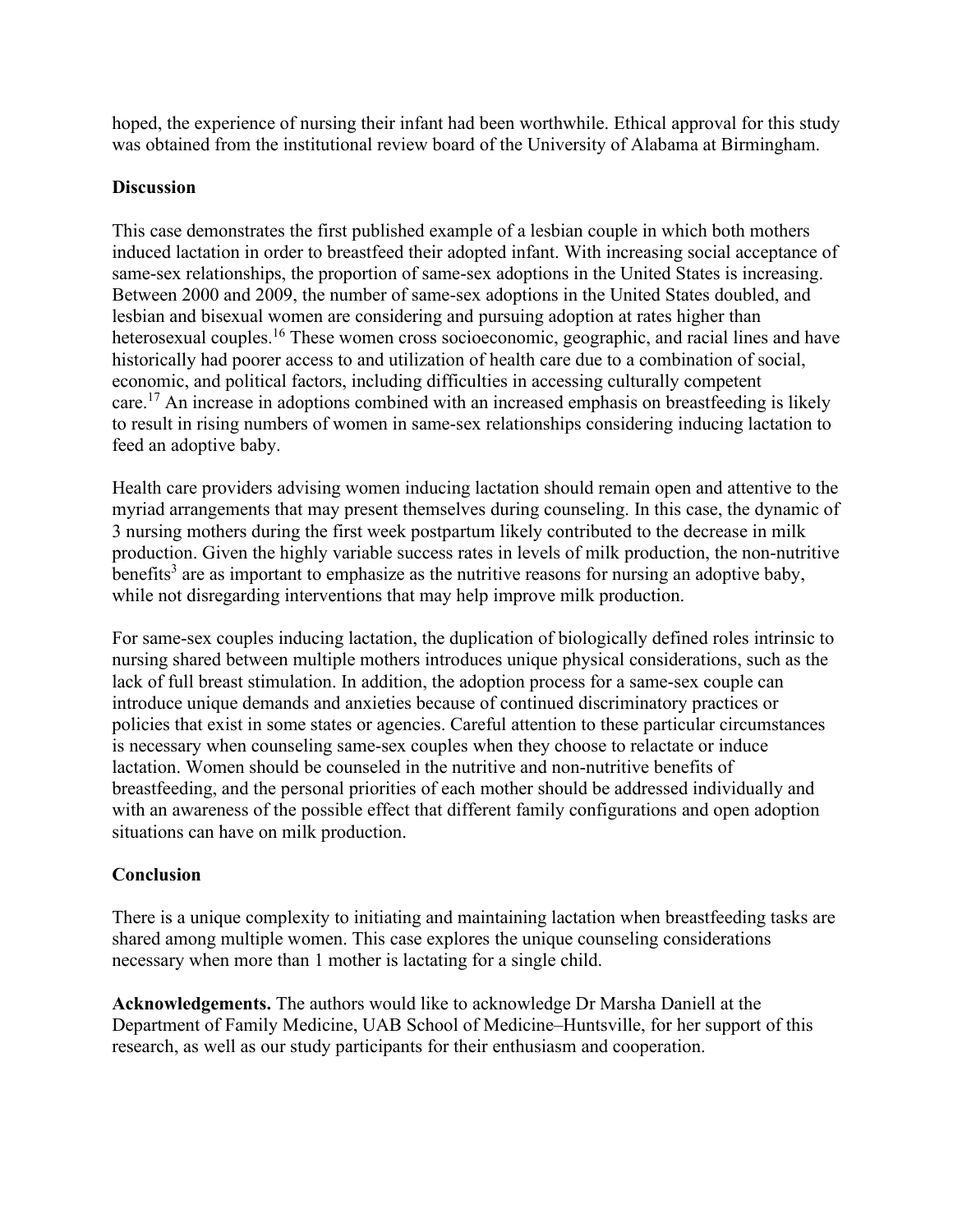hoped, the experience of nursing their infant had been worthwhile. Ethical approval for this study was obtained from the institutional review board of the University of Alabama at Birmingham.

#### **Discussion**

This case demonstrates the first published example of a lesbian couple in which both mothers induced lactation in order to breastfeed their adopted infant. With increasing social acceptance of same-sex relationships, the proportion of same-sex adoptions in the United States is increasing. Between 2000 and 2009, the number of same-sex adoptions in the United States doubled, and lesbian and bisexual women are considering and pursuing adoption at rates higher than heterosexual couples.<sup>16</sup> These women cross socioeconomic, geographic, and racial lines and have historically had poorer access to and utilization of health care due to a combination of social, economic, and political factors, including difficulties in accessing culturally competent care.<sup>17</sup> An increase in adoptions combined with an increased emphasis on breastfeeding is likely to result in rising numbers of women in same-sex relationships considering inducing lactation to feed an adoptive baby.

Health care providers advising women inducing lactation should remain open and attentive to the myriad arrangements that may present themselves during counseling. In this case, the dynamic of 3 nursing mothers during the first week postpartum likely contributed to the decrease in milk production. Given the highly variable success rates in levels of milk production, the non-nutritive benefits<sup>3</sup> are as important to emphasize as the nutritive reasons for nursing an adoptive baby, while not disregarding interventions that may help improve milk production.

For same-sex couples inducing lactation, the duplication of biologically defined roles intrinsic to nursing shared between multiple mothers introduces unique physical considerations, such as the lack of full breast stimulation. In addition, the adoption process for a same-sex couple can introduce unique demands and anxieties because of continued discriminatory practices or policies that exist in some states or agencies. Careful attention to these particular circumstances is necessary when counseling same-sex couples when they choose to relactate or induce lactation. Women should be counseled in the nutritive and non-nutritive benefits of breastfeeding, and the personal priorities of each mother should be addressed individually and with an awareness of the possible effect that different family configurations and open adoption situations can have on milk production.

### **Conclusion**

There is a unique complexity to initiating and maintaining lactation when breastfeeding tasks are shared among multiple women. This case explores the unique counseling considerations necessary when more than 1 mother is lactating for a single child.

**Acknowledgements.** The authors would like to acknowledge Dr Marsha Daniell at the Department of Family Medicine, UAB School of Medicine–Huntsville, for her support of this research, as well as our study participants for their enthusiasm and cooperation.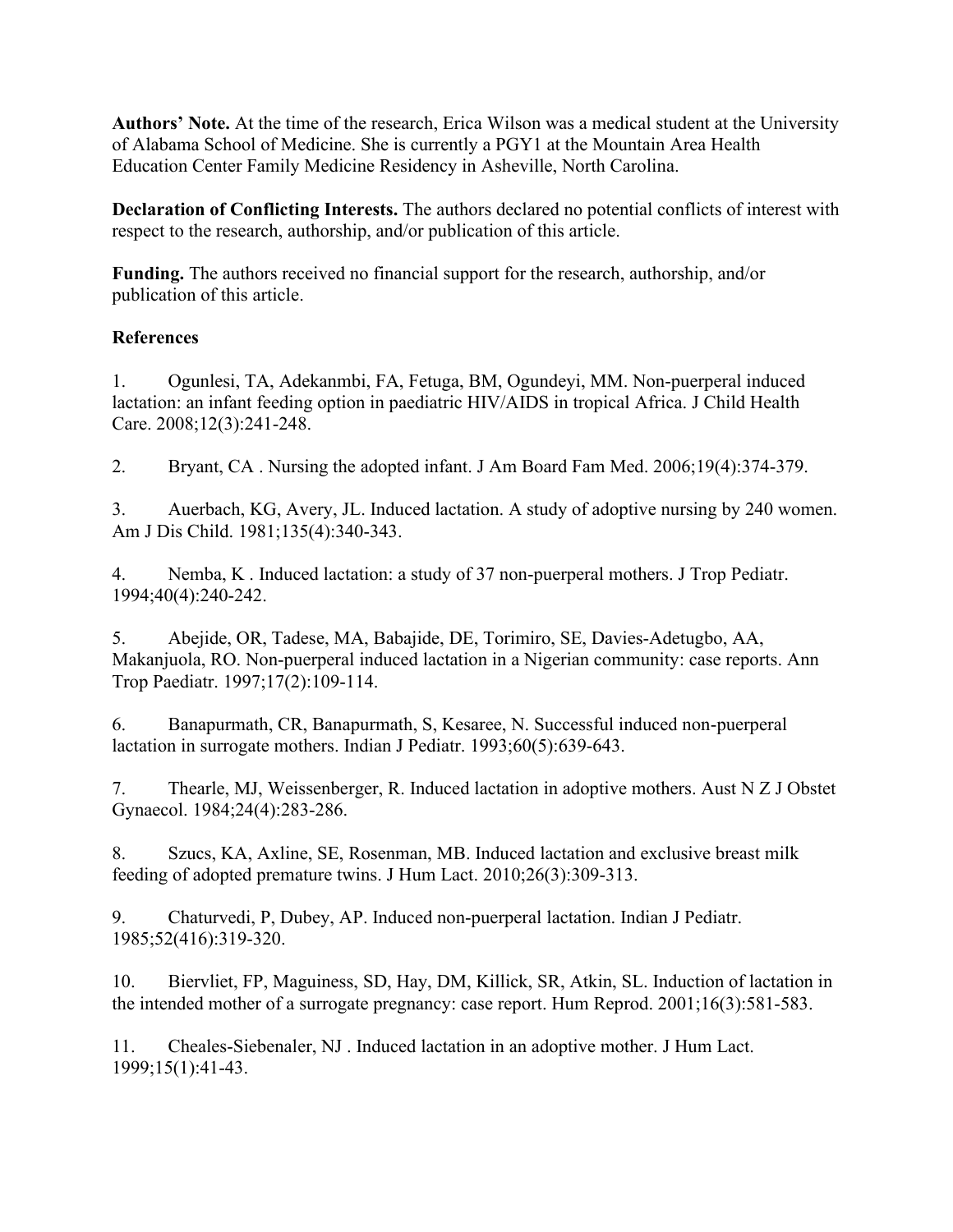**Authors' Note.** At the time of the research, Erica Wilson was a medical student at the University of Alabama School of Medicine. She is currently a PGY1 at the Mountain Area Health Education Center Family Medicine Residency in Asheville, North Carolina.

**Declaration of Conflicting Interests.** The authors declared no potential conflicts of interest with respect to the research, authorship, and/or publication of this article.

**Funding.** The authors received no financial support for the research, authorship, and/or publication of this article.

# **References**

1. Ogunlesi, TA, Adekanmbi, FA, Fetuga, BM, Ogundeyi, MM. Non-puerperal induced lactation: an infant feeding option in paediatric HIV/AIDS in tropical Africa. J Child Health Care. 2008;12(3):241-248.

2. Bryant, CA . Nursing the adopted infant. J Am Board Fam Med. 2006;19(4):374-379.

3. Auerbach, KG, Avery, JL. Induced lactation. A study of adoptive nursing by 240 women. Am J Dis Child. 1981;135(4):340-343.

4. Nemba, K . Induced lactation: a study of 37 non-puerperal mothers. J Trop Pediatr. 1994;40(4):240-242.

5. Abejide, OR, Tadese, MA, Babajide, DE, Torimiro, SE, Davies-Adetugbo, AA, Makanjuola, RO. Non-puerperal induced lactation in a Nigerian community: case reports. Ann Trop Paediatr. 1997;17(2):109-114.

6. Banapurmath, CR, Banapurmath, S, Kesaree, N. Successful induced non-puerperal lactation in surrogate mothers. Indian J Pediatr. 1993;60(5):639-643.

7. Thearle, MJ, Weissenberger, R. Induced lactation in adoptive mothers. Aust N Z J Obstet Gynaecol. 1984;24(4):283-286.

8. Szucs, KA, Axline, SE, Rosenman, MB. Induced lactation and exclusive breast milk feeding of adopted premature twins. J Hum Lact. 2010;26(3):309-313.

9. Chaturvedi, P, Dubey, AP. Induced non-puerperal lactation. Indian J Pediatr. 1985;52(416):319-320.

10. Biervliet, FP, Maguiness, SD, Hay, DM, Killick, SR, Atkin, SL. Induction of lactation in the intended mother of a surrogate pregnancy: case report. Hum Reprod. 2001;16(3):581-583.

11. Cheales-Siebenaler, NJ . Induced lactation in an adoptive mother. J Hum Lact. 1999;15(1):41-43.